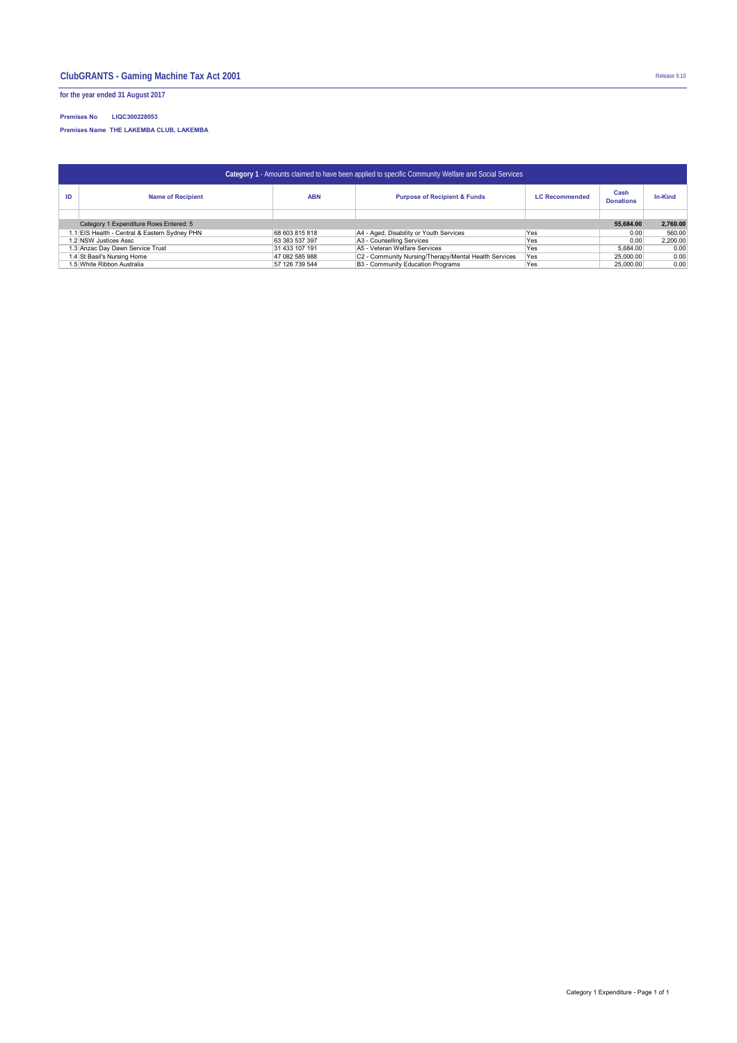**for the year ended 31 August 2017**

## **Premises No LIQC300228053**

**Premises Name THE LAKEMBA CLUB, LAKEMBA** 

| Category 1 - Amounts claimed to have been applied to specific Community Welfare and Social Services |                                  |                |                                                       |                       |                          |          |  |  |  |  |  |  |
|-----------------------------------------------------------------------------------------------------|----------------------------------|----------------|-------------------------------------------------------|-----------------------|--------------------------|----------|--|--|--|--|--|--|
| םו                                                                                                  | <b>Name of Recipient</b>         | <b>ABN</b>     | <b>Purpose of Recipient &amp; Funds</b>               | <b>LC Recommended</b> | Cash<br><b>Donations</b> | In-Kind  |  |  |  |  |  |  |
|                                                                                                     |                                  |                |                                                       |                       |                          |          |  |  |  |  |  |  |
| Category 1 Expenditure Rows Entered: 5                                                              |                                  |                |                                                       |                       |                          |          |  |  |  |  |  |  |
| 1.1 EIS Health - Central & Eastern Sydney PHN                                                       |                                  | 68 603 815 818 | A4 - Aged, Disability or Youth Services               | Yes                   | 0.00                     | 560.00   |  |  |  |  |  |  |
| 1.2 NSW Justices Assc                                                                               |                                  | 63 383 537 397 | A3 - Counselling Services                             | Yes                   | 0.00                     | 2,200.00 |  |  |  |  |  |  |
|                                                                                                     | 1.3 Anzac Day Dawn Service Trust | 31 433 107 191 | A5 - Veteran Welfare Services                         | Yes                   | 5.684.00                 | 0.00     |  |  |  |  |  |  |
|                                                                                                     | 1.4 St Basil's Nursing Home      | 47 082 585 988 | C2 - Community Nursing/Therapy/Mental Health Services | Yes                   | 25,000.00                | 0.00     |  |  |  |  |  |  |
|                                                                                                     | 1.5 White Ribbon Australia       | 57 126 739 544 | B3 - Community Education Programs                     | Yes                   | 25,000,00                | 0.00     |  |  |  |  |  |  |